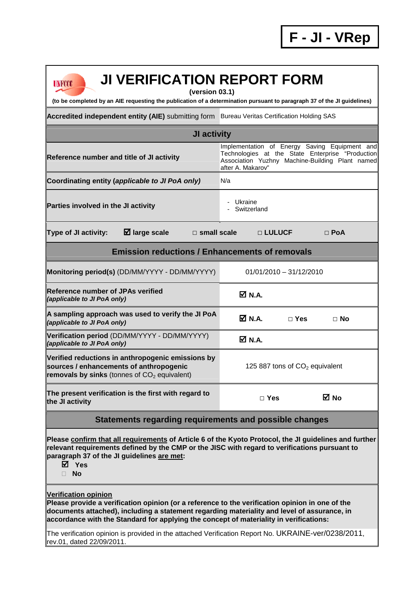| <b>JI VERIFICATION REPORT FORM</b><br>UNFCCC<br>(version 03.1)                                                                                                                                                                                                                                                          |                                                                                                                                                                           |  |  |
|-------------------------------------------------------------------------------------------------------------------------------------------------------------------------------------------------------------------------------------------------------------------------------------------------------------------------|---------------------------------------------------------------------------------------------------------------------------------------------------------------------------|--|--|
| (to be completed by an AIE requesting the publication of a determination pursuant to paragraph 37 of the JI guidelines)                                                                                                                                                                                                 |                                                                                                                                                                           |  |  |
| Accredited independent entity (AIE) submitting form Bureau Veritas Certification Holding SAS                                                                                                                                                                                                                            |                                                                                                                                                                           |  |  |
| JI activity                                                                                                                                                                                                                                                                                                             |                                                                                                                                                                           |  |  |
| Reference number and title of JI activity                                                                                                                                                                                                                                                                               | Implementation of Energy Saving Equipment and<br>Technologies at the State Enterprise "Production<br>Association Yuzhny Machine-Building Plant named<br>after A. Makarov" |  |  |
| Coordinating entity (applicable to JI PoA only)                                                                                                                                                                                                                                                                         | N/a                                                                                                                                                                       |  |  |
| Parties involved in the JI activity                                                                                                                                                                                                                                                                                     | - Ukraine<br>Switzerland                                                                                                                                                  |  |  |
| $\boxtimes$ large scale<br>Type of JI activity:<br>$\square$ small scale                                                                                                                                                                                                                                                | □ LULUCF<br>$\Box$ PoA                                                                                                                                                    |  |  |
| <b>Emission reductions / Enhancements of removals</b>                                                                                                                                                                                                                                                                   |                                                                                                                                                                           |  |  |
| Monitoring period(s) (DD/MM/YYYY - DD/MM/YYYY)                                                                                                                                                                                                                                                                          | $01/01/2010 - 31/12/2010$                                                                                                                                                 |  |  |
| <b>Reference number of JPAs verified</b><br>(applicable to JI PoA only)                                                                                                                                                                                                                                                 | ØN.A.                                                                                                                                                                     |  |  |
| A sampling approach was used to verify the JI PoA<br>(applicable to JI PoA only)                                                                                                                                                                                                                                        | <b>Ø</b> N.A.<br>$\Box$ Yes<br>$\Box$ No                                                                                                                                  |  |  |
| Verification period (DD/MM/YYYY - DD/MM/YYYY)<br>(applicable to JI PoA only)                                                                                                                                                                                                                                            | ØN.A.                                                                                                                                                                     |  |  |
| Verified reductions in anthropogenic emissions by<br>sources / enhancements of anthropogenic<br>removals by sinks (tonnes of $CO2$ equivalent)                                                                                                                                                                          | 125 887 tons of $CO2$ equivalent                                                                                                                                          |  |  |
| The present verification is the first with regard to<br>the JI activity                                                                                                                                                                                                                                                 | M No<br>$\Box$ Yes                                                                                                                                                        |  |  |
| Statements regarding requirements and possible changes                                                                                                                                                                                                                                                                  |                                                                                                                                                                           |  |  |
| Please confirm that all requirements of Article 6 of the Kyoto Protocol, the JI guidelines and further<br>relevant requirements defined by the CMP or the JISC with regard to verifications pursuant to<br>paragraph 37 of the JI guidelines are met:<br>⊠ Yes<br><b>No</b>                                             |                                                                                                                                                                           |  |  |
| <b>Verification opinion</b><br>Please provide a verification opinion (or a reference to the verification opinion in one of the<br>documents attached), including a statement regarding materiality and level of assurance, in<br>accordance with the Standard for applying the concept of materiality in verifications: |                                                                                                                                                                           |  |  |

The verification opinion is provided in the attached Verification Report No. UKRAINE-ver/0238/2011, rev.01, dated 22/09/2011.